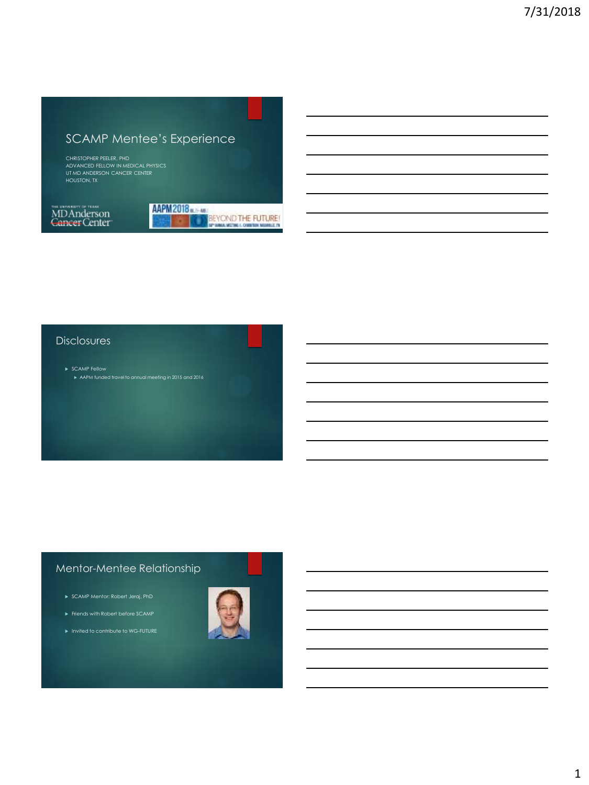# SCAMP Mentee's Experience

CHRISTOPHER PEELER, PHD ADVANCED FELLOW IN MEDICAL PHYSICS UT MD ANDERSON CANCER CENTER HOUSTON, TX

na amany a noa<br>MDAnderson<br>Cancer Center



#### **Disclosures**

# Mentor-Mentee Relationship

- 
- 
- 

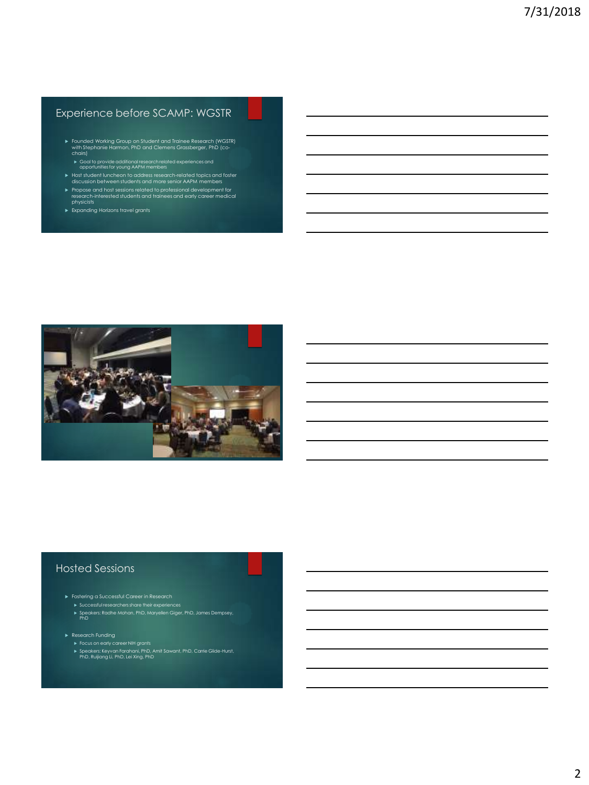# Experience before SCAMP: WGSTR

- Founded Working Group on Student and Trainee Research (WGSTR) with Stephanie Harmon, PhD and Clemens Grassberger, PhD (co-chairs)
- Goal to provide additional research related experiences and opportunities for young AAPM members Host student luncheon to address research-related topics and foster discussion between students and more senior AAPM members
- Propose and host sessions related to professional development for research-interested students and trainees and early career medical physicists
- Expanding Horizons travel grants



### Hosted Sessions

- -
- Fostering a Successful Career in Research Successful researchers share their experiences Speakers: Radhe Mohan, PhD, Maryellen Giger, PhD, James Dempsey, PhD
- -
- ► Research Funding<br>► Focus on early career NIH grants<br>► Speakers: Keyvan Farahani, PhD, Amit Sawant, PhD, Carrie Glide-Hurst,<br>PhD, Ruijiang Li, PhD, Lei Xing, PhD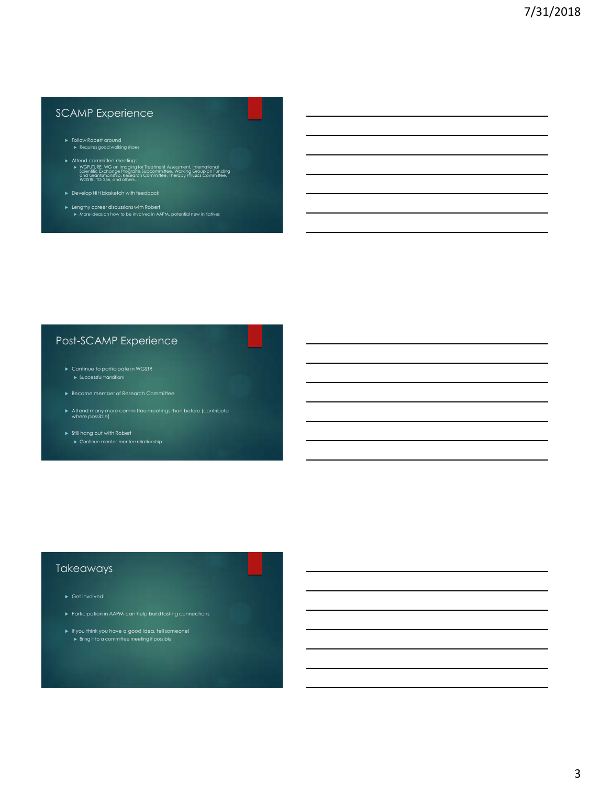# SCAMP Experience

- Follow Robert around Requires good walking shoes
- Attend committee meetings ► WGFUTURE, WG on Imaging for Treatment Assessment, International<br>Scientific Exchange Programs Subcommittee, Working Group on Funding<br>and Grantsmanship, Research Committee, Therapy Physics Committee,<br>WGSTR, TG 256, and ot
- 
- Lengthy career discussions with Robert More ideas on how to be involved in AAPM, potential new initiatives

# Post-SCAMP Experience

- Successful transition!
- 
- Attend many more committee meetings than before (contribute where possible)
- Still hang out with Robert

#### Takeaways

- 
- 
-